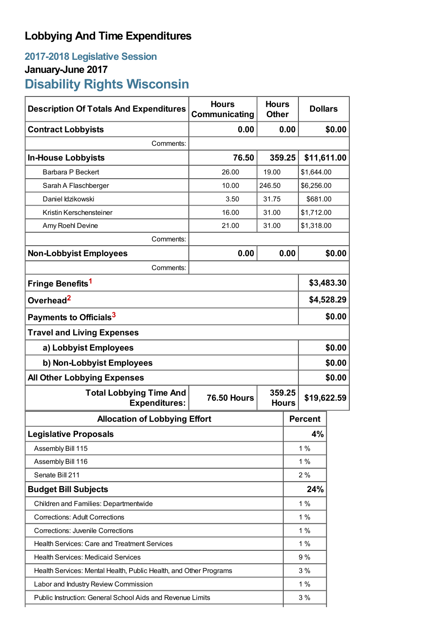## **Lobbying And Time Expenditures**

## **2017-2018 Legislative Session January-June 2017 Disability Rights Wisconsin**

| <b>Description Of Totals And Expenditures</b>                     | <b>Hours</b><br>Communicating | <b>Hours</b><br><b>Other</b> | <b>Dollars</b> |             |  |
|-------------------------------------------------------------------|-------------------------------|------------------------------|----------------|-------------|--|
| <b>Contract Lobbyists</b>                                         | 0.00                          | 0.00                         |                | \$0.00      |  |
| Comments:                                                         |                               |                              |                |             |  |
| <b>In-House Lobbyists</b>                                         | 76.50                         | 359.25                       | \$11,611.00    |             |  |
| Barbara P Beckert                                                 | 26.00                         | 19.00                        |                | \$1,644.00  |  |
| Sarah A Flaschberger                                              | 10.00                         | 246.50                       |                | \$6,256.00  |  |
| Daniel Idzikowski                                                 | 3.50                          | 31.75                        |                | \$681.00    |  |
| Kristin Kerschensteiner                                           | 16.00                         | 31.00                        |                | \$1,712.00  |  |
| Amy Roehl Devine                                                  | 21.00                         | 31.00                        | \$1,318.00     |             |  |
| Comments:                                                         |                               |                              |                |             |  |
| <b>Non-Lobbyist Employees</b>                                     | 0.00                          | 0.00                         |                | \$0.00      |  |
| Comments:                                                         |                               |                              |                |             |  |
| Fringe Benefits <sup>1</sup>                                      |                               |                              |                | \$3,483.30  |  |
| Overhead <sup>2</sup>                                             |                               |                              |                | \$4,528.29  |  |
| Payments to Officials <sup>3</sup>                                |                               |                              |                | \$0.00      |  |
| <b>Travel and Living Expenses</b>                                 |                               |                              |                |             |  |
| a) Lobbyist Employees                                             |                               |                              |                | \$0.00      |  |
| b) Non-Lobbyist Employees                                         |                               |                              |                | \$0.00      |  |
| <b>All Other Lobbying Expenses</b>                                |                               |                              |                | \$0.00      |  |
| <b>Total Lobbying Time And</b><br><b>Expenditures:</b>            | <b>76.50 Hours</b>            | 359.25<br><b>Hours</b>       |                | \$19,622.59 |  |
| <b>Allocation of Lobbying Effort</b>                              |                               |                              | <b>Percent</b> |             |  |
| <b>Legislative Proposals</b>                                      |                               |                              | 4%             |             |  |
| Assembly Bill 115                                                 |                               |                              | 1%             |             |  |
| Assembly Bill 116                                                 |                               |                              | 1%             |             |  |
| Senate Bill 211                                                   |                               |                              | 2%             |             |  |
| <b>Budget Bill Subjects</b>                                       |                               |                              | 24%            |             |  |
| Children and Families: Departmentwide                             |                               |                              | 1%             |             |  |
| <b>Corrections: Adult Corrections</b>                             |                               |                              | 1%             |             |  |
| <b>Corrections: Juvenile Corrections</b>                          |                               |                              | $1\%$          |             |  |
| <b>Health Services: Care and Treatment Services</b>               |                               |                              | 1%             |             |  |
| <b>Health Services: Medicaid Services</b>                         |                               |                              | 9 %            |             |  |
| Health Services: Mental Health, Public Health, and Other Programs |                               |                              | 3%             |             |  |
| Labor and Industry Review Commission                              |                               |                              | 1%             |             |  |
| Public Instruction: General School Aids and Revenue Limits        |                               |                              | 3%             |             |  |